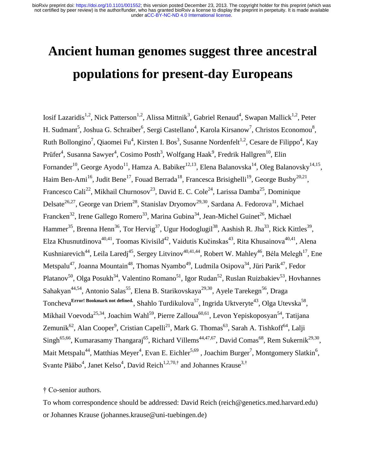# **Ancient human genomes suggest three ancestral populations for present-day Europeans**

<span id="page-0-25"></span><span id="page-0-24"></span><span id="page-0-22"></span><span id="page-0-21"></span><span id="page-0-19"></span><span id="page-0-18"></span><span id="page-0-17"></span><span id="page-0-16"></span><span id="page-0-14"></span><span id="page-0-13"></span><span id="page-0-12"></span><span id="page-0-11"></span><span id="page-0-10"></span><span id="page-0-9"></span><span id="page-0-8"></span><span id="page-0-7"></span><span id="page-0-6"></span><span id="page-0-5"></span><span id="page-0-4"></span><span id="page-0-3"></span><span id="page-0-2"></span><span id="page-0-1"></span><span id="page-0-0"></span>Iosif Lazaridis<sup>[1,](#page-0-0)[2](#page-0-1)</sup>, Nick Patterson<sup>[1](#page-0-0)[,2](#page-0-2)</sup>, Alissa Mittnik<sup>3</sup>, Gabriel Renaud<sup>4</sup>, Swapan Mallick<sup>1,2</sup>, Peter H. Sudmant<sup>5</sup>, Joshua G. Schraiber<sup>6</sup>, Sergi Castellano<sup>4</sup>, Karola Kirsanow<sup>7</sup>, Christos Economou<sup>8</sup>, Ruth Bollongino<sup>7</sup>[,](#page-0-5) Qiaomei Fu<sup>4</sup>, Kirsten I. Bos<sup>3</sup>, Susanne Nordenfelt<sup>[1,](#page-0-0)[2](#page-0-1)</sup>, Cesare de Filippo<sup>[4](#page-0-4)</sup>, Kay Prüfer<sup>[4](#page-0-4)</sup>, Susanna Sawyer<sup>4</sup>, Cosimo Posth<sup>[3](#page-0-5)</sup>, Wolfgang Haak<sup>9</sup>, Fredrik Hallgren<sup>10</sup>, Elin Fornander<sup>[10](#page-0-6)</sup>, George Ayodo<sup>11</sup>, Hamza A. Babiker<sup>12,13</sup>, Elena Balanovska<sup>14</sup>, Oleg Balanovsky<sup>[14,](#page-0-7)15</sup>, Haim Ben-Ami<sup>16</sup>, Judit Bene<sup>17</sup>, Fouad Berrada<sup>18</sup>, Francesca Brisighelli<sup>19</sup>, George Busby<sup>20,21</sup>, Francesco Cali<sup>22</sup>, Mikhail Churnosov<sup>23</sup>, David E. C. Cole<sup>24</sup>, Larissa Damba<sup>25</sup>, Dominique Delsate<sup>26,27</sup>, George van Driem<sup>28</sup>, Stanislav Dryomov<sup>29,30</sup>, Sardana A. Fedorova<sup>31</sup>, Michael Francken<sup>32</sup>, Irene Gallego Romero<sup>33</sup>, Marina Gubina<sup>34</sup>, Jean-Michel Guinet<sup>[26](#page-0-8)</sup>, Michael Hammer<sup>35</sup>, Brenna Henn<sup>36</sup>, Tor Hervig<sup>37</sup>, Ugur Hodoglugil<sup>38</sup>, Aashish R. Jha<sup>[33](#page-0-9)</sup>, Rick Kittles<sup>39</sup>, Elza Khusnutdinova<sup>[40](#page-0-10)[,41](#page-0-11)</sup>, Toomas Kivisild<sup>42</sup>, Vaidutis Kučinskas<sup>43</sup>, Rita Khusainova<sup>40,41</sup>, Alena Kushniarevich<sup>44</sup>, Leila Laredj<sup>45</sup>, Sergey Litvinov<sup>[40](#page-0-10)[,41](#page-0-11)[,44](#page-0-12)</sup>, Robert W. Mahley<sup>46</sup>, Béla Melegh<sup>[17](#page-0-13)</sup>, Ene Metspalu<sup>47</sup>, Joanna Mountain<sup>48</sup>, Thomas Nyambo<sup>49</sup>, Ludmila Osipova<sup>[34](#page-0-14)</sup>, Jüri Parik<sup>[47](#page-0-15)</sup>, Fedor Platanov<sup>50</sup>, Olga Posukh<sup>[34](#page-0-14)</sup>, Valentino Romano<sup>51</sup>, Igor Rudan<sup>52</sup>, Ruslan Ruizbakiev<sup>53</sup>, Hovhannes Sahakyan<sup>[44,5](#page-0-12)4</sup>, Antonio Salas<sup>55</sup>, Elena B. Starikovskaya<sup>[29](#page-0-16)[,30](#page-0-17)</sup>, Ayele Tarekegn<sup>56</sup>, Draga Toncheva<sup>Error! Bookmark not defined.</sup>, Shahlo Turdikulova<sup>57</sup>, Ingrida Uktveryte<sup>[43](#page-0-18)</sup>, Olga Utevska<sup>58</sup>, Mikhail Voevoda<sup>[25,](#page-0-19)[34](#page-0-14)</sup>, Joachim Wahl<sup>59</sup>, Pierre Zalloua<sup>60,61</sup>, Levon Yepiskoposyan<sup>[54](#page-0-20)</sup>, Tatijana Zemunik<sup>62</sup>, Alan Cooper<sup>[9](#page-0-21)</sup>, Cristian Capelli<sup>[21](#page-0-22)</sup>, Mark G. Thomas<sup>63</sup>, Sarah A. Tishkoff<sup>64</sup>, Lalji  $\text{Singh}^{65,66}$  $\text{Singh}^{65,66}$  $\text{Singh}^{65,66}$ , Kumarasamy Thangaraj<sup>65</sup>, Richard Villems<sup>[44](#page-0-12)[,47,](#page-0-15)67</sup>, David Comas<sup>68</sup>, Rem Sukernik<sup>[29](#page-0-16)[,30](#page-0-17)</sup>, Mait Metspalu<sup>[44](#page-0-12)</sup>, Matthias Meye[r](#page-0-3)<sup>4</sup>, Evan E. Eichler<sup>[5,6](#page-0-24)9</sup>, Joachim Burger<sup>7</sup>, Mo[n](#page-0-25)tgomery Slatkin<sup>6</sup>, Svante Pääbo<sup>[4](#page-0-4)</sup>, Janet Kels[o](#page-0-4)<sup>4</sup>, David Reich<sup>[1](#page-0-0)[,2,](#page-0-2)70,†</sup> and Johannes Krause<sup>[3,†](#page-0-5)</sup>

<span id="page-0-23"></span><span id="page-0-20"></span><span id="page-0-15"></span>† Co-senior authors.

To whom correspondence should be addressed: David Reich (reich@genetics.med.harvard.edu) or Johannes Krause (johannes.krause@uni-tuebingen.de)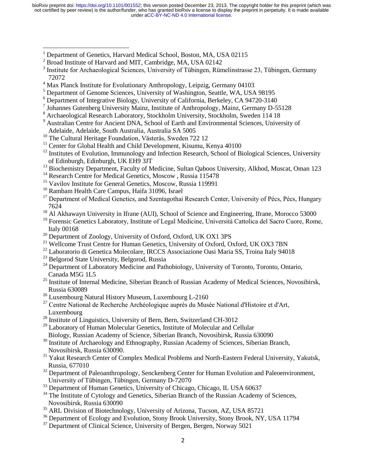- <sup>1</sup> Department of Genetics, Harvard Medical School, Boston, MA, USA 02115
- <sup>2</sup> Broad Institute of Harvard and MIT, Cambridge, MA, USA 02142

 $\overline{\phantom{a}}$ 

- <sup>3</sup> Institute for Archaeological Sciences, University of Tübingen, Rümelinstrasse 23, Tübingen, Germany 72072
- <sup>4</sup> Max Planck Institute for Evolutionary Anthropology, Leipzig, Germany 04103
- <sup>5</sup> Department of Genome Sciences, University of Washington, Seattle, WA, USA 98195
- <sup>6</sup> Department of Integrative Biology, University of California, Berkeley, CA 94720-3140
- 7 Johannes Gutenberg University Mainz, Institute of Anthropology, Mainz, Germany D-55128
- <sup>8</sup> Archaeological Research Laboratory, Stockholm University, Stockholm, Sweden 114 18
- <sup>9</sup> Australian Centre for Ancient DNA, School of Earth and Environmental Sciences, University of Adelaide, Adelaide, South Australia, Australia SA 5005
- <sup>10</sup> The Cultural Heritage Foundation, Västerås, Sweden 722 12
- <sup>11</sup> Center for Global Health and Child Development, Kisumu, Kenya 40100
- <sup>12</sup> Institutes of Evolution, Immunology and Infection Research, School of Biological Sciences, University of Edinburgh, Edinburgh, UK EH9 3JT
- <sup>13</sup> Biochemistry Department, Faculty of Medicine, Sultan Qaboos University, Alkhod, Muscat, Oman 123
- <sup>14</sup> Research Centre for Medical Genetics, Moscow, Russia 115478
- <sup>15</sup> Vavilov Institute for General Genetics, Moscow, Russia 119991
- <sup>16</sup> Rambam Health Care Campus, Haifa 31096, Israel
- <sup>17</sup> Department of Medical Genetics, and Szentagothai Research Center, University of Pécs, Pécs, Hungary 7624
- <sup>18</sup> Al Akhawayn University in Ifrane (AUI), School of Science and Engineering, Ifrane, Morocco 53000
- <sup>19</sup> Forensic Genetics Laboratory, Institute of Legal Medicine, Università Cattolica del Sacro Cuore, Rome, Italy 00168
- <sup>20</sup> Department of Zoology, University of Oxford, Oxford, UK OX1 3PS
- <sup>21</sup> Wellcome Trust Centre for Human Genetics, University of Oxford, Oxford, UK OX3 7BN
- <sup>22</sup> Laboratorio di Genetica Molecolare, IRCCS Associazione Oasi Maria SS, Troina Italy 94018
- <sup>23</sup> Belgorod State University, Belgorod, Russia
- <sup>24</sup> Department of Laboratory Medicine and Pathobiology, University of Toronto, Toronto, Ontario, Canada M5G 1L5
- <sup>25</sup> Institute of Internal Medicine, Siberian Branch of Russian Academy of Medical Sciences, Novosibirsk, Russia 630089
- <sup>26</sup> Luxembourg Natural History Museum, Luxembourg L-2160
- <sup>27</sup> Centre National de Recherche Archéologique auprès du Musée National d'Histoire et d'Art, Luxembourg
- <sup>28</sup> Institute of Linguistics, University of Bern, Bern, Switzerland CH-3012
- <sup>29</sup> Laboratory of Human Molecular Genetics, Institute of Molecular and Cellular Biology, Russian Academy of Science, Siberian Branch, Novosibirsk, Russia 630090
- <sup>30</sup> Institute of Archaeology and Ethnography, Russian Academy of Sciences, Siberian Branch, Novosibirsk, Russia 630090.
- <sup>31</sup> Yakut Research Center of Complex Medical Problems and North-Eastern Federal University, Yakutsk, Russia, 677010
- <sup>32</sup> Department of Paleoanthropology, Senckenberg Center for Human Evolution and Paleoenvironment, University of Tübingen, Tübingen, Germany D-72070
- <sup>33</sup> Department of Human Genetics, University of Chicago, Chicago, IL USA 60637
- <sup>34</sup> The Institute of Cytology and Genetics, Siberian Branch of the Russian Academy of Sciences, Novosibirsk, Russia 630090
- <sup>35</sup> ARL Division of Biotechnology, University of Arizona, Tucson, AZ, USA 85721
- <sup>36</sup> Department of Ecology and Evolution, Stony Brook University, Stony Brook, NY, USA 11794
- $37$  Department of Clinical Science, University of Bergen, Bergen, Norway 5021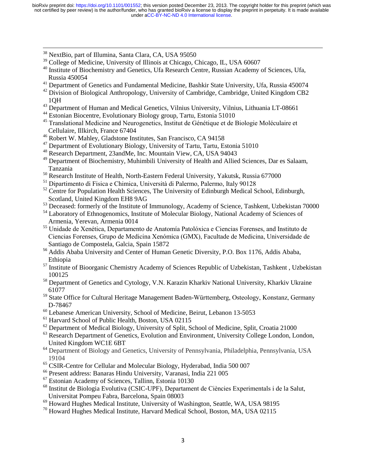<sup>38</sup> NextBio, part of Illumina, Santa Clara, CA, USA 95050

 $\overline{\phantom{a}}$ 

- <sup>39</sup> College of Medicine, University of Illinois at Chicago, Chicago, IL, USA 60607
- <sup>40</sup> Institute of Biochemistry and Genetics, Ufa Research Centre, Russian Academy of Sciences, Ufa, Russia 450054
- <sup>41</sup> Department of Genetics and Fundamental Medicine, Bashkir State University, Ufa, Russia 450074
- <sup>42</sup> Division of Biological Anthropology, University of Cambridge, Cambridge, United Kingdom CB2 1QH
- <sup>43</sup> Department of Human and Medical Genetics, Vilnius University, Vilnius, Lithuania LT-08661
- <sup>44</sup> Estonian Biocentre, Evolutionary Biology group, Tartu, Estonia 51010
- <sup>45</sup> Translational Medicine and Neurogenetics, Institut de Génétique et de Biologie Moléculaire et Cellulaire, Illkirch, France 67404
- <sup>46</sup> Robert W. Mahley, Gladstone Institutes, San Francisco, CA 94158
- <sup>47</sup> Department of Evolutionary Biology, University of Tartu, Tartu, Estonia 51010
- <sup>48</sup> Research Department, 23andMe, Inc. Mountain View, CA, USA 94043
- <sup>49</sup> Department of Biochemistry, Muhimbili University of Health and Allied Sciences, Dar es Salaam. Tanzania
- <sup>50</sup> Research Institute of Health, North-Eastern Federal University, Yakutsk, Russia 677000
- <sup>51</sup> Dipartimento di Fisica e Chimica, Università di Palermo, Palermo, Italy 90128
- $52$  Centre for Population Health Sciences, The University of Edinburgh Medical School, Edinburgh, Scotland, United Kingdom EH8 9AG
- <sup>53</sup> Deceased: formerly of the Institute of Immunology, Academy of Science, Tashkent, Uzbekistan 70000
- <sup>54</sup> Laboratory of Ethnogenomics, Institute of Molecular Biology, National Academy of Sciences of Armenia, Yerevan, Armenia 0014
- <sup>55</sup> Unidade de Xenética, Departamento de Anatomía Patolóxica e Ciencias Forenses, and Instituto de Ciencias Forenses, Grupo de Medicina Xenómica (GMX), Facultade de Medicina, Universidade de Santiago de Compostela, Galcia, Spain 15872
- <sup>56</sup> Addis Ababa University and Center of Human Genetic Diversity, P.O. Box 1176, Addis Ababa, Ethiopia
- <sup>57</sup> Institute of Bioorganic Chemistry Academy of Sciences Republic of Uzbekistan, Tashkent, Uzbekistan 100125
- <sup>58</sup> Department of Genetics and Cytology, V.N. Karazin Kharkiv National University, Kharkiv Ukraine 61077
- <sup>59</sup> State Office for Cultural Heritage Management Baden-Württemberg, Osteology, Konstanz, Germany D-78467
- <sup>60</sup> Lebanese American University, School of Medicine, Beirut, Lebanon 13-5053
- <sup>61</sup> Harvard School of Public Health, Boston, USA 02115
- <sup>62</sup> Department of Medical Biology, University of Split, School of Medicine, Split, Croatia 21000
- <sup>63</sup> Research Department of Genetics, Evolution and Environment, University College London, London, United Kingdom WC1E 6BT
- <sup>64</sup> Department of Biology and Genetics, University of Pennsylvania, Philadelphia, Pennsylvania, USA 19104
- <sup>65</sup> CSIR-Centre for Cellular and Molecular Biology, Hyderabad, India 500 007
- <sup>66</sup> Present address: Banaras Hindu University, Varanasi, India 221 005
- <sup>67</sup> Estonian Academy of Sciences, Tallinn, Estonia 10130
- <sup>68</sup> Institut de Biologia Evolutiva (CSIC-UPF), Departament de Ciències Experimentals i de la Salut. Universitat Pompeu Fabra, Barcelona, Spain 08003
- <sup>69</sup> Howard Hughes Medical Institute, University of Washington, Seattle, WA, USA 98195
- <sup>70</sup> Howard Hughes Medical Institute, Harvard Medical School, Boston, MA, USA 02115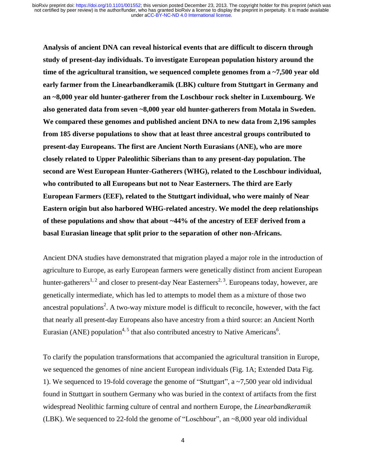**Analysis of ancient DNA can reveal historical events that are difficult to discern through study of present-day individuals. To investigate European population history around the time of the agricultural transition, we sequenced complete genomes from a ~7,500 year old early farmer from the Linearbandkeramik (LBK) culture from Stuttgart in Germany and an ~8,000 year old hunter-gatherer from the Loschbour rock shelter in Luxembourg. We also generated data from seven ~8,000 year old hunter-gatherers from Motala in Sweden. We compared these genomes and published ancient DNA to new data from 2,196 samples from 185 diverse populations to show that at least three ancestral groups contributed to present-day Europeans. The first are Ancient North Eurasians (ANE), who are more closely related to Upper Paleolithic Siberians than to any present-day population. The second are West European Hunter-Gatherers (WHG), related to the Loschbour individual, who contributed to all Europeans but not to Near Easterners. The third are Early European Farmers (EEF), related to the Stuttgart individual, who were mainly of Near Eastern origin but also harbored WHG-related ancestry. We model the deep relationships of these populations and show that about ~44% of the ancestry of EEF derived from a basal Eurasian lineage that split prior to the separation of other non-Africans.** 

Ancient DNA studies have demonstrated that migration played a major role in the introduction of agriculture to Europe, as early European farmers were genetically distinct from ancient European hunter-gatherers<sup>[1,](#page-17-0) [2](#page-17-1)</sup> and closer to present-day Near Easterners<sup>[2,](#page-17-1) [3](#page-17-2)</sup>. Europeans today, however, are genetically intermediate, which has led to attempts to model them as a mixture of those two ance[s](#page-17-1)tral populations<sup>2</sup>. A two-way mixture model is difficult to reconcile, however, with the fact that nearly all present-day Europeans also have ancestry from a third source: an Ancient North Eurasian (ANE) population<sup>[4,](#page-17-3) [5](#page-17-4)</sup> that also contributed ancestry to Native Americans<sup>[6](#page-17-5)</sup>.

To clarify the population transformations that accompanied the agricultural transition in Europe, we sequenced the genomes of nine ancient European individuals (Fig. 1A; Extended Data Fig. 1). We sequenced to 19-fold coverage the genome of "Stuttgart", a ~7,500 year old individual found in Stuttgart in southern Germany who was buried in the context of artifacts from the first widespread Neolithic farming culture of central and northern Europe, the *Linearbandkeramik* (LBK). We sequenced to 22-fold the genome of "Loschbour", an ~8,000 year old individual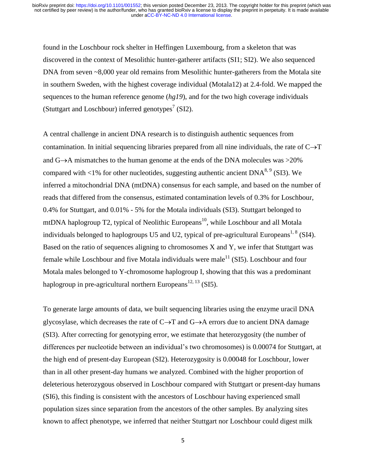found in the Loschbour rock shelter in Heffingen Luxembourg, from a skeleton that was discovered in the context of Mesolithic hunter-gatherer artifacts (SI1; SI2). We also sequenced DNA from seven ~8,000 year old remains from Mesolithic hunter-gatherers from the Motala site in southern Sweden, with the highest coverage individual (Motala12) at 2.4-fold. We mapped the sequences to the human reference genome (*hg19*), and for the two high coverage individuals (Stuttgart and Loschbour) inferred genotypes<sup>[7](#page-17-6)</sup> (SI2).

A central challenge in ancient DNA research is to distinguish authentic sequences from contamination. In initial sequencing libraries prepared from all nine individuals, the rate of  $C\rightarrow T$ and  $G\rightarrow A$  mismatches to the human genome at the ends of the DNA molecules was  $>20\%$ compared with <1% for other nucleotides, suggesting authentic ancient  $DNA^{8.9}$  (SI3). We inferred a mitochondrial DNA (mtDNA) consensus for each sample, and based on the number of reads that differed from the consensus, estimated contamination levels of 0.3% for Loschbour, 0.4% for Stuttgart, and 0.01% - 5% for the Motala individuals (SI3). Stuttgart belonged to mtDNA haplogroup T2, typical of Neolithic Europeans<sup>[10](#page-17-9)</sup>, while Loschbour and all Motala individuals belonged to haplogroups U5 and U2, typical of pre-agricultural Europeans<sup>[1,](#page-17-0) [8](#page-17-7)</sup> (SI4). Based on the ratio of sequences aligning to chromosomes X and Y, we infer that Stuttgart was female while Loschbour and five Motala individuals were male<sup>[11](#page-17-10)</sup> (SI5). Loschbour and four Motala males belonged to Y-chromosome haplogroup I, showing that this was a predominant haplogroup in pre-agricultural northern Europeans<sup>[12,](#page-17-11) [13](#page-18-0)</sup> (SI5).

To generate large amounts of data, we built sequencing libraries using the enzyme uracil DNA glycosylase, which decreases the rate of  $C \rightarrow T$  and  $G \rightarrow A$  errors due to ancient DNA damage (SI3). After correcting for genotyping error, we estimate that heterozygosity (the number of differences per nucleotide between an individual's two chromosomes) is 0.00074 for Stuttgart, at the high end of present-day European (SI2). Heterozygosity is 0.00048 for Loschbour, lower than in all other present-day humans we analyzed. Combined with the higher proportion of deleterious heterozygous observed in Loschbour compared with Stuttgart or present-day humans (SI6), this finding is consistent with the ancestors of Loschbour having experienced small population sizes since separation from the ancestors of the other samples. By analyzing sites known to affect phenotype, we inferred that neither Stuttgart nor Loschbour could digest milk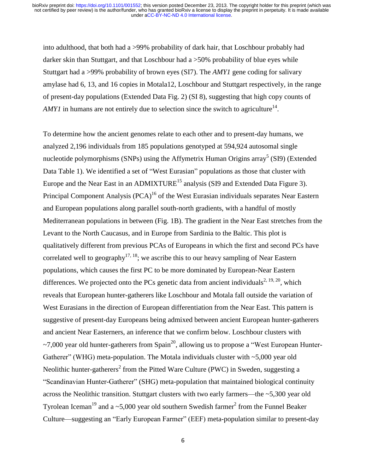into adulthood, that both had a >99% probability of dark hair, that Loschbour probably had darker skin than Stuttgart, and that Loschbour had a >50% probability of blue eyes while Stuttgart had a >99% probability of brown eyes (SI7). The *AMY1* gene coding for salivary amylase had 6, 13, and 16 copies in Motala12, Loschbour and Stuttgart respectively, in the range of present-day populations (Extended Data Fig. 2) (SI 8), suggesting that high copy counts of *AMY1* in humans are not entirely due to selection since the switch to agriculture<sup>[14](#page-18-1)</sup>.

To determine how the ancient genomes relate to each other and to present-day humans, we analyzed 2,196 individuals from 185 populations genotyped at 594,924 autosomal single nucleotide polymorphisms (SNPs) using the Affymetrix Human Origins array<sup>[5](#page-17-4)</sup> (SI9) (Extended Data Table 1). We identified a set of "West Eurasian" populations as those that cluster with Europe and the Near East in an ADMIXTURE<sup>[15](#page-18-2)</sup> analysis (SI9 and Extended Data Figure 3). Principal Component Analysis (PCA)<sup>[16](#page-18-3)</sup> of the West Eurasian individuals separates Near Eastern and European populations along parallel south-north gradients, with a handful of mostly Mediterranean populations in between (Fig. 1B). The gradient in the Near East stretches from the Levant to the North Caucasus, and in Europe from Sardinia to the Baltic. This plot is qualitatively different from previous PCAs of Europeans in which the first and second PCs have correlated well to geography<sup>[17,](#page-18-4) [18](#page-18-5)</sup>; we ascribe this to our heavy sampling of Near Eastern populations, which causes the first PC to be more dominated by European-Near Eastern differences. We projected onto the PCs genetic data from ancient individuals<sup>[2,](#page-17-1) [19,](#page-18-6) [20](#page-18-7)</sup>, which reveals that European hunter-gatherers like Loschbour and Motala fall outside the variation of West Eurasians in the direction of European differentiation from the Near East. This pattern is suggestive of present-day Europeans being admixed between ancient European hunter-gatherers and ancient Near Easterners, an inference that we confirm below. Loschbour clusters with  $\sim$ 7,000 year old hunter-gatherers from Spain<sup>[20](#page-18-7)</sup>, allowing us to propose a "West European Hunter-Gatherer" (WHG) meta-population. The Motala individuals cluster with ~5,000 year old Neolithic hunter-gatherers<sup>[2](#page-17-1)</sup> from the Pitted Ware Culture (PWC) in Sweden, suggesting a "Scandinavian Hunter-Gatherer" (SHG) meta-population that maintained biological continuity across the Neolithic transition. Stuttgart clusters with two early farmers—the ~5,300 year old Tyrolean Iceman<sup>[19](#page-18-6)</sup> and a ~5,000 yea[r](#page-17-1) old southern Swedish farmer<sup>2</sup> from the Funnel Beaker Culture—suggesting an "Early European Farmer" (EEF) meta-population similar to present-day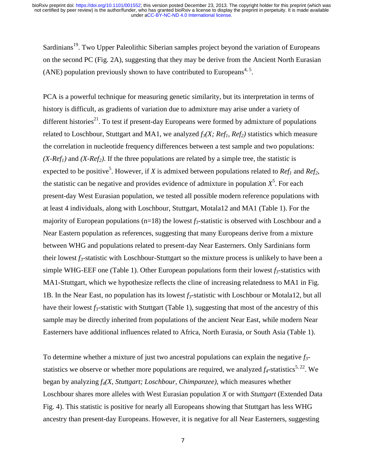Sardinians<sup>[19](#page-18-6)</sup>. Two Upper Paleolithic Siberian samples project beyond the variation of Europeans on the second PC (Fig. 2A), suggesting that they may be derive from the Ancient North Eurasian (ANE) population previously shown to have contributed to Europeans<sup>[4,](#page-17-3) [5](#page-17-4)</sup>.

PCA is a powerful technique for measuring genetic similarity, but its interpretation in terms of history is difficult, as gradients of variation due to admixture may arise under a variety of different histories<sup>[21](#page-18-8)</sup>. To test if present-day Europeans were formed by admixture of populations related to Loschbour, Stuttgart and MA1, we analyzed  $f_3(X; Ref_1, Ref_2)$  statistics which measure the correlation in nucleotide frequency differences between a test sample and two populations:  $(X-Ref<sub>1</sub>)$  and  $(X-Ref<sub>2</sub>)$ . If the three populations are related by a simple tree, the statistic is expected to be positive<sup>5</sup>[.](#page-17-4) However, if *X* is admixed between populations related to *Ref<sub>1</sub>* and *Ref*<sub>2</sub>, the statistic can be negative and provides evidence of admixture in population  $X^5$  $X^5$ . For each present-day West Eurasian population, we tested all possible modern reference populations with at least 4 individuals, along with Loschbour, Stuttgart, Motala12 and MA1 (Table 1). For the majority of European populations ( $n=18$ ) the lowest  $f_3$ -statistic is observed with Loschbour and a Near Eastern population as references, suggesting that many Europeans derive from a mixture between WHG and populations related to present-day Near Easterners. Only Sardinians form their lowest *f3*-statistic with Loschbour-Stuttgart so the mixture process is unlikely to have been a simple WHG-EEF one (Table 1). Other European populations form their lowest  $f_3$ -statistics with MA1-Stuttgart, which we hypothesize reflects the cline of increasing relatedness to MA1 in Fig. 1B. In the Near East, no population has its lowest *f3*-statistic with Loschbour or Motala12, but all have their lowest  $f_3$ -statistic with Stuttgart (Table 1), suggesting that most of the ancestry of this sample may be directly inherited from populations of the ancient Near East, while modern Near Easterners have additional influences related to Africa, North Eurasia, or South Asia (Table 1).

To determine whether a mixture of just two ancestral populations can explain the negative *f3* statistics we observe or whether more populations are required, we analyzed  $f_4$ -statistics<sup>[5,](#page-17-4) [22](#page-18-9)</sup>. We began by analyzing *f4(X, Stuttgart; Loschbour, Chimpanzee)*, which measures whether Loschbour shares more alleles with West Eurasian population *X* or with *Stuttgart* (Extended Data Fig. 4). This statistic is positive for nearly all Europeans showing that Stuttgart has less WHG ancestry than present-day Europeans. However, it is negative for all Near Easterners, suggesting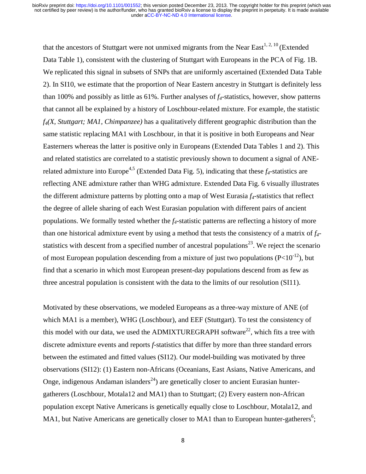that the ancestors of Stuttgart were not unmixed migrants from the Near East<sup>[1,](#page-17-0) [2,](#page-17-1) [10](#page-17-9)</sup> (Extended Data Table 1), consistent with the clustering of Stuttgart with Europeans in the PCA of Fig. 1B. We replicated this signal in subsets of SNPs that are uniformly ascertained (Extended Data Table 2). In SI10, we estimate that the proportion of Near Eastern ancestry in Stuttgart is definitely less than 100% and possibly as little as 61%. Further analyses of *f4*-statistics, however, show patterns that cannot all be explained by a history of Loschbour-related mixture. For example, the statistic *f4(X, Stuttgart; MA1, Chimpanzee)* has a qualitatively different geographic distribution than the same statistic replacing MA1 with Loschbour, in that it is positive in both Europeans and Near Easterners whereas the latter is positive only in Europeans (Extended Data Tables 1 and 2). This and related statistics are correlated to a statistic previously shown to document a signal of ANE-related admixture into Europe<sup>[4,](#page-17-3)[5](#page-17-4)</sup> (Extended Data Fig. 5), indicating that these  $f_4$ -statistics are reflecting ANE admixture rather than WHG admixture. Extended Data Fig. 6 visually illustrates the different admixture patterns by plotting onto a map of West Eurasia *f4*-statistics that reflect the degree of allele sharing of each West Eurasian population with different pairs of ancient populations. We formally tested whether the *f4*-statistic patterns are reflecting a history of more than one historical admixture event by using a method that tests the consistency of a matrix of *f4-* statistics with descent from a specified number of ancestral populations<sup>[23](#page-18-10)</sup>. We reject the scenario of most European population descending from a mixture of just two populations ( $P<10^{-12}$ ), but find that a scenario in which most European present-day populations descend from as few as three ancestral population is consistent with the data to the limits of our resolution (SI11).

Motivated by these observations, we modeled Europeans as a three-way mixture of ANE (of which MA1 is a member), WHG (Loschbour), and EEF (Stuttgart). To test the consistency of this model with our data, we used the ADMIXTUREGRAPH software<sup>[22](#page-18-9)</sup>, which fits a tree with discrete admixture events and reports *f*-statistics that differ by more than three standard errors between the estimated and fitted values (SI12). Our model-building was motivated by three observations (SI12): (1) Eastern non-Africans (Oceanians, East Asians, Native Americans, and Onge, indigenous Andaman islanders<sup>[24](#page-19-0)</sup>) are genetically closer to ancient Eurasian huntergatherers (Loschbour, Motala12 and MA1) than to Stuttgart; (2) Every eastern non-African population except Native Americans is genetically equally close to Loschbour, Motala12, and MA1, but Native Americans are genetically closer to MA1 than to European hunter-gatherers<sup>[6](#page-17-5)</sup>;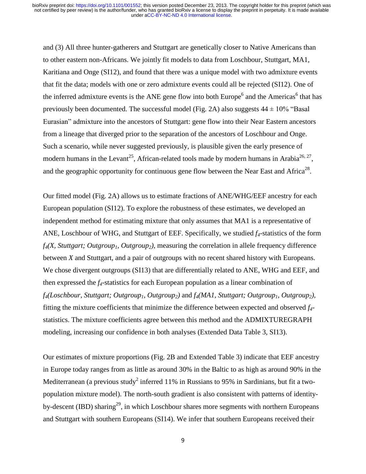and (3) All three hunter-gatherers and Stuttgart are genetically closer to Native Americans than to other eastern non-Africans. We jointly fit models to data from Loschbour, Stuttgart, MA1, Karitiana and Onge (SI12), and found that there was a unique model with two admixture events that fit the data; models with one or zero admixture events could all be rejected (SI12). One of th[e](#page-17-5) inferred admixture event[s](#page-17-5) is the ANE gene flow into both Europe<sup>6</sup> and the Americas<sup>6</sup> that has previously been documented. The successful model (Fig. 2A) also suggests  $44 \pm 10\%$  "Basal Eurasian" admixture into the ancestors of Stuttgart: gene flow into their Near Eastern ancestors from a lineage that diverged prior to the separation of the ancestors of Loschbour and Onge. Such a scenario, while never suggested previously, is plausible given the early presence of modern humans in the Levant<sup>[25](#page-19-1)</sup>, African-related tools made by modern humans in Arabia<sup>[26,](#page-19-2) [27](#page-19-3)</sup>, and the geographic opportunity for continuous gene flow between the Near East and Africa<sup>[28](#page-19-4)</sup>.

Our fitted model (Fig. 2A) allows us to estimate fractions of ANE/WHG/EEF ancestry for each European population (SI12). To explore the robustness of these estimates, we developed an independent method for estimating mixture that only assumes that MA1 is a representative of ANE, Loschbour of WHG, and Stuttgart of EEF. Specifically, we studied *f4*-statistics of the form *f4(X, Stuttgart; Outgroup1, Outgroup2),* measuring the correlation in allele frequency difference between *X* and Stuttgart, and a pair of outgroups with no recent shared history with Europeans. We chose divergent outgroups (SI13) that are differentially related to ANE, WHG and EEF, and then expressed the *f4*-statistics for each European population as a linear combination of *f4(Loschbour, Stuttgart; Outgroup1, Outgroup2)* and *f4(MA1, Stuttgart; Outgroup1, Outgroup2),*  fitting the mixture coefficients that minimize the difference between expected and observed *f4* statistics. The mixture coefficients agree between this method and the ADMIXTUREGRAPH modeling, increasing our confidence in both analyses (Extended Data Table 3, SI13).

Our estimates of mixture proportions (Fig. 2B and Extended Table 3) indicate that EEF ancestry in Europe today ranges from as little as around 30% in the Baltic to as high as around 90% in the Mediterranean (a previous stud[y](#page-17-1)<sup>2</sup> inferred 11% in Russians to 95% in Sardinians, but fit a twopopulation mixture model). The north-south gradient is also consistent with patterns of identity-by-descent (IBD) sharing<sup>[29](#page-19-5)</sup>, in which Loschbour shares more segments with northern Europeans and Stuttgart with southern Europeans (SI14). We infer that southern Europeans received their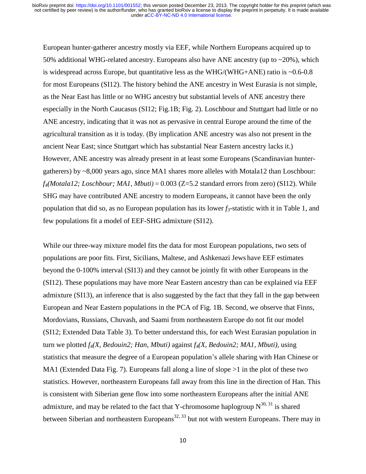European hunter-gatherer ancestry mostly via EEF, while Northern Europeans acquired up to 50% additional WHG-related ancestry. Europeans also have ANE ancestry (up to  $\sim$ 20%), which is widespread across Europe, but quantitative less as the WHG/(WHG+ANE) ratio is ~0.6-0.8 for most Europeans (SI12). The history behind the ANE ancestry in West Eurasia is not simple, as the Near East has little or no WHG ancestry but substantial levels of ANE ancestry there especially in the North Caucasus (SI12; Fig.1B; Fig. 2). Loschbour and Stuttgart had little or no ANE ancestry, indicating that it was not as pervasive in central Europe around the time of the agricultural transition as it is today. (By implication ANE ancestry was also not present in the ancient Near East; since Stuttgart which has substantial Near Eastern ancestry lacks it.) However, ANE ancestry was already present in at least some Europeans (Scandinavian huntergatherers) by ~8,000 years ago, since MA1 shares more alleles with Motala12 than Loschbour: *f4(Motala12; Loschbour; MA1, Mbuti)* = 0.003 (Z=5.2 standard errors from zero) (SI12). While SHG may have contributed ANE ancestry to modern Europeans, it cannot have been the only population that did so, as no European population has its lower *f3*-statistic with it in Table 1, and few populations fit a model of EEF-SHG admixture (SI12).

While our three-way mixture model fits the data for most European populations, two sets of populations are poor fits. First, Sicilians, Maltese, and Ashkenazi Jews have EEF estimates beyond the 0-100% interval (SI13) and they cannot be jointly fit with other Europeans in the (SI12). These populations may have more Near Eastern ancestry than can be explained via EEF admixture (SI13), an inference that is also suggested by the fact that they fall in the gap between European and Near Eastern populations in the PCA of Fig. 1B. Second, we observe that Finns, Mordovians, Russians, Chuvash, and Saami from northeastern Europe do not fit our model (SI12; Extended Data Table 3). To better understand this, for each West Eurasian population in turn we plotted *f4(X, Bedouin2; Han, Mbuti)* against *f4(X, Bedouin2; MA1, Mbuti),* using statistics that measure the degree of a European population's allele sharing with Han Chinese or MA1 (Extended Data Fig. 7). Europeans fall along a line of slope >1 in the plot of these two statistics. However, northeastern Europeans fall away from this line in the direction of Han. This is consistent with Siberian gene flow into some northeastern Europeans after the initial ANE admixture, and may be related to the fact that Y-chromosome haplogroup  $N^{30, 31}$  $N^{30, 31}$  $N^{30, 31}$  $N^{30, 31}$  is shared between Siberian and northeastern Europeans<sup>[32,](#page-19-8) [33](#page-19-9)</sup> but not with western Europeans. There may in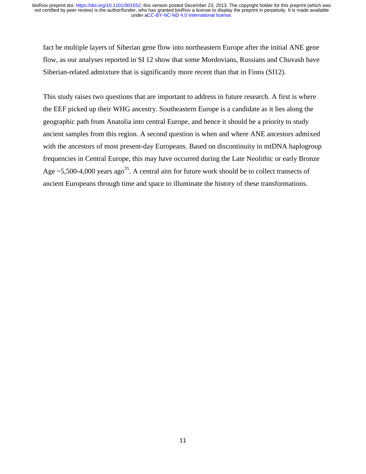fact be multiple layers of Siberian gene flow into northeastern Europe after the initial ANE gene flow, as our analyses reported in SI 12 show that some Mordovians, Russians and Chuvash have Siberian-related admixture that is significantly more recent than that in Finns (SI12).

This study raises two questions that are important to address in future research. A first is where the EEF picked up their WHG ancestry. Southeastern Europe is a candidate as it lies along the geographic path from Anatolia into central Europe, and hence it should be a priority to study ancient samples from this region. A second question is when and where ANE ancestors admixed with the ancestors of most present-day Europeans. Based on discontinuity in mtDNA haplogroup frequencies in Central Europe, this may have occurred during the Late Neolithic or early Bronze Age  $\approx$  5,500-4,000 years ago<sup>[35](#page-19-10)</sup>. A central aim for future work should be to collect transects of ancient Europeans through time and space to illuminate the history of these transformations.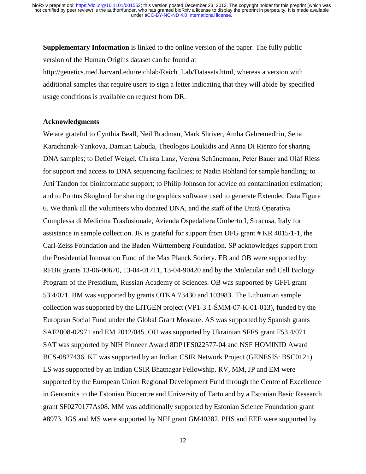**Supplementary Information** is linked to the online version of the paper. The fully public version of the Human Origins dataset can be found at

http://genetics.med.harvard.edu/reichlab/Reich\_Lab/Datasets.html, whereas a version with additional samples that require users to sign a letter indicating that they will abide by specified usage conditions is available on request from DR.

#### **Acknowledgments**

We are grateful to Cynthia Beall, Neil Bradman, Mark Shriver, Amha Gebremedhin, Sena Karachanak-Yankova, Damian Labuda, Theologos Loukidis and Anna Di Rienzo for sharing DNA samples; to Detlef Weigel, Christa Lanz, Verena Schünemann, Peter Bauer and Olaf Riess for support and access to DNA sequencing facilities; to Nadin Rohland for sample handling; to Arti Tandon for bioinformatic support; to Philip Johnson for advice on contamination estimation; and to Pontus Skoglund for sharing the graphics software used to generate Extended Data Figure 6. We thank all the volunteers who donated DNA, and the staff of the Unità Operativa Complessa di Medicina Trasfusionale, Azienda Ospedaliera Umberto I, Siracusa, Italy for assistance in sample collection. JK is grateful for support from DFG grant # KR 4015/1-1, the Carl-Zeiss Foundation and the Baden Württemberg Foundation. SP acknowledges support from the Presidential Innovation Fund of the Max Planck Society. EB and OB were supported by RFBR grants 13-06-00670, 13-04-01711, 13-04-90420 and by the Molecular and Cell Biology Program of the Presidium, Russian Academy of Sciences. OB was supported by GFFI grant 53.4/071. BM was supported by grants OTKA 73430 and 103983. The Lithuanian sample collection was supported by the LITGEN project (VP1-3.1-ŠMM-07-K-01-013), funded by the European Social Fund under the Global Grant Measure. AS was supported by Spanish grants SAF2008-02971 and EM 2012/045. OU was supported by Ukrainian SFFS grant F53.4/071. SAT was supported by NIH Pioneer Award 8DP1ES022577-04 and NSF HOMINID Award BCS-0827436. KT was supported by an Indian CSIR Network Project (GENESIS: BSC0121). LS was supported by an Indian CSIR Bhatnagar Fellowship. RV, MM, JP and EM were supported by the European Union Regional Development Fund through the Centre of Excellence in Genomics to the Estonian Biocentre and University of Tartu and by a Estonian Basic Research grant SF0270177As08. MM was additionally supported by Estonian Science Foundation grant #8973. JGS and MS were supported by NIH grant GM40282. PHS and EEE were supported by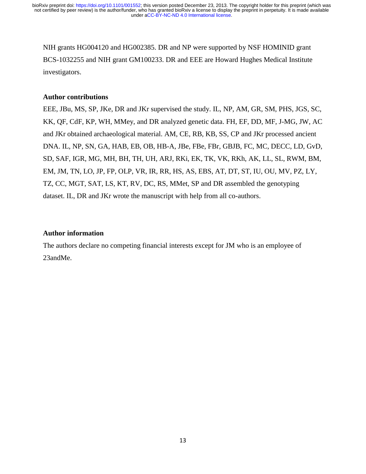NIH grants HG004120 and HG002385. DR and NP were supported by NSF HOMINID grant BCS-1032255 and NIH grant GM100233. DR and EEE are Howard Hughes Medical Institute investigators.

#### **Author contributions**

EEE, JBu, MS, SP, JKe, DR and JKr supervised the study. IL, NP, AM, GR, SM, PHS, JGS, SC, KK, QF, CdF, KP, WH, MMey, and DR analyzed genetic data. FH, EF, DD, MF, J-MG, JW, AC and JKr obtained archaeological material. AM, CE, RB, KB, SS, CP and JKr processed ancient DNA. IL, NP, SN, GA, HAB, EB, OB, HB-A, JBe, FBe, FBr, GBJB, FC, MC, DECC, LD, GvD, SD, SAF, IGR, MG, MH, BH, TH, UH, ARJ, RKi, EK, TK, VK, RKh, AK, LL, SL, RWM, BM, EM, JM, TN, LO, JP, FP, OLP, VR, IR, RR, HS, AS, EBS, AT, DT, ST, IU, OU, MV, PZ, LY, TZ, CC, MGT, SAT, LS, KT, RV, DC, RS, MMet, SP and DR assembled the genotyping dataset. IL, DR and JKr wrote the manuscript with help from all co-authors.

#### **Author information**

The authors declare no competing financial interests except for JM who is an employee of 23andMe.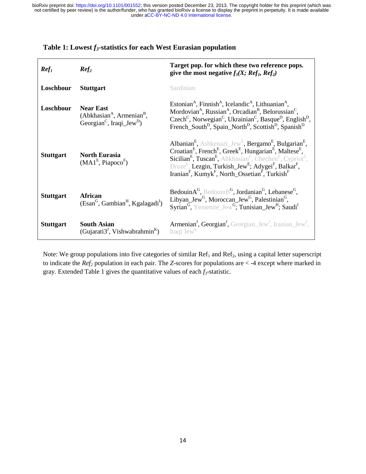| Ref <sub>1</sub> | Ref <sub>2</sub>                                                                                  | Target pop. for which these two reference pops.<br>give the most negative $f_3(X; Ref_1, Ref_2)$                                                                                                                                                                                                                                                                                                                                                                                                                                                                  |
|------------------|---------------------------------------------------------------------------------------------------|-------------------------------------------------------------------------------------------------------------------------------------------------------------------------------------------------------------------------------------------------------------------------------------------------------------------------------------------------------------------------------------------------------------------------------------------------------------------------------------------------------------------------------------------------------------------|
| Loschbour        | <b>Stuttgart</b>                                                                                  | Sardinian                                                                                                                                                                                                                                                                                                                                                                                                                                                                                                                                                         |
| Loschbour        | <b>Near East</b><br>$(AbkhasianA, ArmenianB,$<br>Georgian <sup>C</sup> , Iraqi_Jew <sup>D</sup> ) | Estonian <sup>A</sup> , Finnish <sup>A</sup> , Icelandic <sup>A</sup> , Lithuanian <sup>A</sup> ,<br>Mordovian <sup>A</sup> , Russian <sup>A</sup> , Orcadian <sup>B</sup> , Belorussian <sup>C</sup> ,<br>Czech <sup>C</sup> , Norwegian <sup>C</sup> , Ukrainian <sup>C</sup> , Basque <sup>D</sup> , English <sup>D</sup> ,<br>French_South <sup>D</sup> , Spain_North <sup>D</sup> , Scottish <sup>D</sup> , Spanish <sup>D</sup>                                                                                                                             |
| <b>Stuttgart</b> | <b>North Eurasia</b><br>$(MAIE, PiapocoF)$                                                        | Albanian <sup>E</sup> , Ashkenazi_Jew <sup>E</sup> , Bergamo <sup>E</sup> , Bulgarian <sup>E</sup> ,<br>Croatian <sup>E</sup> , French <sup>E</sup> , Greek <sup>E</sup> , Hungarian <sup>E</sup> , Maltese <sup>E</sup> ,<br><b>Sicilian<sup>E</sup></b> , Tuscan <sup>E</sup> , Abkhasian <sup>E</sup> , Chechen <sup>E</sup> , Cypriot <sup>E</sup> ,<br>Druze <sup>E</sup> , Lezgin, Turkish_Jew <sup>E</sup> ; Adygei <sup>F</sup> , Balkar <sup>F</sup> ,<br>Iranian <sup>F</sup> , Kumyk <sup>F</sup> , North_Ossetian <sup>F</sup> , Turkish <sup>F</sup> |
| <b>Stuttgart</b> | African<br>(Esan <sup>G</sup> , Gambian <sup>H</sup> , Kgalagadi <sup>I</sup> )                   | Bedouin $A^G$ , Bedouin $B^G$ , Jordanian <sup>G</sup> , Lebanese <sup>G</sup> ,<br>Libyan_Jew <sup>G</sup> , Moroccan_Jew <sup>G</sup> , Palestinian <sup>G</sup> ,<br>Syrian <sup>G</sup> , Yemenite Jew <sup>G</sup> ; Tunisian Jew <sup>H</sup> ; Saudi <sup>I</sup>                                                                                                                                                                                                                                                                                          |
| <b>Stuttgart</b> | <b>South Asian</b><br>(Gujarati3 <sup><math>\prime</math></sup> , Vishwabrahmin <sup>K</sup> )    | Armenian <sup>J</sup> , Georgian <sup>J</sup> , Georgian_Jew <sup>J</sup> , Iranian_Jew <sup>J</sup> ,<br>Iraqi Jew <sup>K</sup>                                                                                                                                                                                                                                                                                                                                                                                                                                  |

## Table 1: Lowest  $f_3$ -statistics for each West Eurasian population

Note: We group populations into five categories of similar  $Ref<sub>1</sub>$  and  $Ref<sub>2</sub>$ , using a capital letter superscript to indicate the *Ref<sup>2</sup>* population in each pair. The *Z*-scores for populations are < -4 except where marked in gray. Extended Table 1 gives the quantitative values of each *f3*-statistic.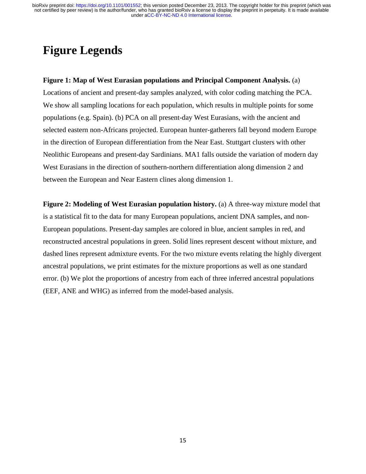# **Figure Legends**

### **Figure 1: Map of West Eurasian populations and Principal Component Analysis.** (a)

Locations of ancient and present-day samples analyzed, with color coding matching the PCA. We show all sampling locations for each population, which results in multiple points for some populations (e.g. Spain). (b) PCA on all present-day West Eurasians, with the ancient and selected eastern non-Africans projected. European hunter-gatherers fall beyond modern Europe in the direction of European differentiation from the Near East. Stuttgart clusters with other Neolithic Europeans and present-day Sardinians. MA1 falls outside the variation of modern day West Eurasians in the direction of southern-northern differentiation along dimension 2 and between the European and Near Eastern clines along dimension 1.

**Figure 2: Modeling of West Eurasian population history.** (a) A three-way mixture model that is a statistical fit to the data for many European populations, ancient DNA samples, and non-European populations. Present-day samples are colored in blue, ancient samples in red, and reconstructed ancestral populations in green. Solid lines represent descent without mixture, and dashed lines represent admixture events. For the two mixture events relating the highly divergent ancestral populations, we print estimates for the mixture proportions as well as one standard error. (b) We plot the proportions of ancestry from each of three inferred ancestral populations (EEF, ANE and WHG) as inferred from the model-based analysis.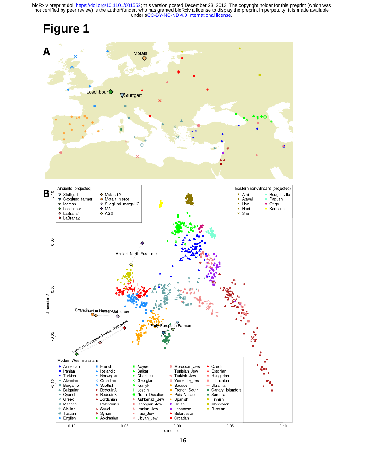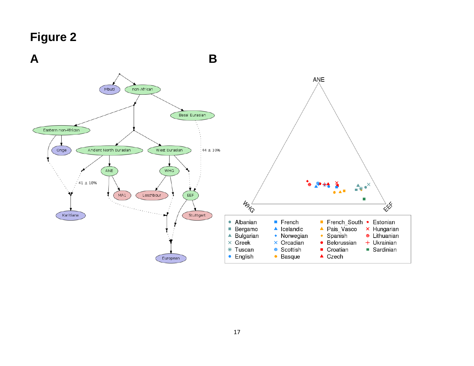# **Figure 2**

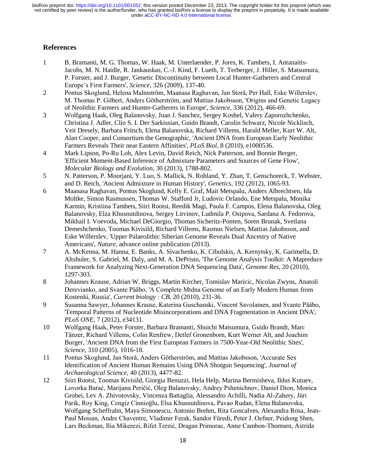### **References**

- <span id="page-17-0"></span>1 B. Bramanti, M. G. Thomas, W. Haak, M. Unterlaender, P. Jores, K. Tambets, I. Antanaitis-Jacobs, M. N. Haidle, R. Jankauskas, C.-J. Kind, F. Lueth, T. Terberger, J. Hiller, S. Matsumura, P. Forster, and J. Burger, 'Genetic Discontinuity between Local Hunter-Gatherers and Central Europe's First Farmers', *Science,* 326 (2009), 137-40.
- <span id="page-17-1"></span>2 Pontus Skoglund, Helena Malmström, Maanasa Raghavan, Jan Storå, Per Hall, Eske Willerslev, M. Thomas P. Gilbert, Anders Götherström, and Mattias Jakobsson, 'Origins and Genetic Legacy of Neolithic Farmers and Hunter-Gatherers in Europe', *Science,* 336 (2012), 466-69.
- <span id="page-17-2"></span>3 Wolfgang Haak, Oleg Balanovsky, Juan J. Sanchez, Sergey Koshel, Valery Zaporozhchenko, Christina J. Adler, Clio S. I. Der Sarkissian, Guido Brandt, Carolin Schwarz, Nicole Nicklisch, Veit Dresely, Barbara Fritsch, Elena Balanovska, Richard Villems, Harald Meller, Kurt W. Alt, Alan Cooper, and Consortium the Genographic, 'Ancient DNA from European Early Neolithic Farmers Reveals Their near Eastern Affinities', *PLoS Biol,* 8 (2010), e1000536.
- <span id="page-17-3"></span>4 Mark Lipson, Po-Ru Loh, Alex Levin, David Reich, Nick Patterson, and Bonnie Berger, 'Efficient Moment-Based Inference of Admixture Parameters and Sources of Gene Flow', *Molecular Biology and Evolution,* 30 (2013), 1788-802.
- <span id="page-17-4"></span>5 N. Patterson, P. Moorjani, Y. Luo, S. Mallick, N. Rohland, Y. Zhan, T. Genschoreck, T. Webster, and D. Reich, 'Ancient Admixture in Human History', *Genetics,* 192 (2012), 1065-93.
- <span id="page-17-5"></span>6 Maanasa Raghavan, Pontus Skoglund, Kelly E. Graf, Mait Metspalu, Anders Albrechtsen, Ida Moltke, Simon Rasmussen, Thomas W. Stafford Jr, Ludovic Orlando, Ene Metspalu, Monika Karmin, Kristiina Tambets, Siiri Rootsi, Reedik Magi, Paula F. Campos, Elena Balanovska, Oleg Balanovsky, Elza Khusnutdinova, Sergey Litvinov, Ludmila P. Osipova, Sardana A. Fedorova, Mikhail I. Voevoda, Michael DeGiorgio, Thomas Sicheritz-Ponten, Soren Brunak, Svetlana Demeshchenko, Toomas Kivisild, Richard Villems, Rasmus Nielsen, Mattias Jakobsson, and Eske Willerslev, 'Upper Palaeolithic Siberian Genome Reveals Dual Ancestry of Native Americans', *Nature,* advance online publication (2013).
- <span id="page-17-6"></span>7 A. McKenna, M. Hanna, E. Banks, A. Sivachenko, K. Cibulskis, A. Kernytsky, K. Garimella, D. Altshuler, S. Gabriel, M. Daly, and M. A. DePristo, 'The Genome Analysis Toolkit: A Mapreduce Framework for Analyzing Next-Generation DNA Sequencing Data', *Genome Res,* 20 (2010), 1297-303.
- <span id="page-17-7"></span>8 Johannes Krause, Adrian W. Briggs, Martin Kircher, Tomislav Maricic, Nicolas Zwyns, Anatoli Derevianko, and Svante Pääbo, 'A Complete Mtdna Genome of an Early Modern Human from Kostenki, Russia', *Current biology : CB,* 20 (2010), 231-36.
- <span id="page-17-8"></span>9 Susanna Sawyer, Johannes Krause, Katerina Guschanski, Vincent Savolainen, and Svante Pääbo, 'Temporal Patterns of Nucleotide Misincorporations and DNA Fragmentation in Ancient DNA', *PLoS ONE,* 7 (2012), e34131.
- <span id="page-17-9"></span>10 Wolfgang Haak, Peter Forster, Barbara Bramanti, Shuichi Matsumura, Guido Brandt, Marc Tänzer, Richard Villems, Colin Renfrew, Detlef Gronenborn, Kurt Werner Alt, and Joachim Burger, 'Ancient DNA from the First European Farmers in 7500-Year-Old Neolithic Sites', *Science,* 310 (2005), 1016-18.
- <span id="page-17-10"></span>11 Pontus Skoglund, Jan Storå, Anders Götherström, and Mattias Jakobsson, 'Accurate Sex Identification of Ancient Human Remains Using DNA Shotgun Sequencing', *Journal of Archaeological Science,* 40 (2013), 4477-82.
- <span id="page-17-11"></span>12 Siiri Rootsi, Toomas Kivisild, Giorgia Benuzzi, Hela Help, Marina Bermisheva, Ildus Kutuev, Lovorka Barać, Marijana Peričić, Oleg Balanovsky, Andrey Pshenichnov, Daniel Dion, Monica Grobei, Lev A. Zhivotovsky, Vincenza Battaglia, Alessandro Achilli, Nadia Al-Zahery, Jüri Parik, Roy King, Cengiz Cinnioğlu, Elsa Khusnutdinova, Pavao Rudan, Elena Balanovska, Wolfgang Scheffrahn, Maya Simonescu, Antonio Brehm, Rita Goncalves, Alexandra Rosa, Jean-Paul Moisan, Andre Chaventre, Vladimir Ferak, Sandor Füredi, Peter J. Oefner, Peidong Shen, Lars Beckman, Ilia Mikerezi, Rifet Terzić, Dragan Primorac, Anne Cambon-Thomsen, Astrida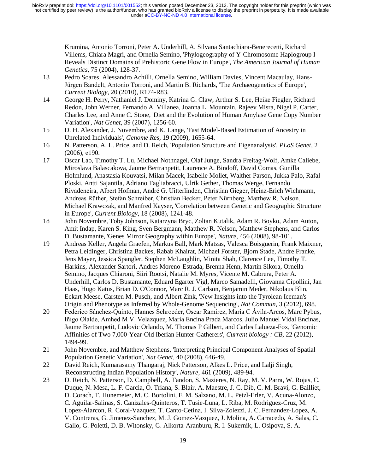> Krumina, Antonio Torroni, Peter A. Underhill, A. Silvana Santachiara-Benerecetti, Richard Villems, Chiara Magri, and Ornella Semino, 'Phylogeography of Y-Chromosome Haplogroup I Reveals Distinct Domains of Prehistoric Gene Flow in Europe', *The American Journal of Human Genetics,* 75 (2004), 128-37.

- <span id="page-18-0"></span>13 Pedro Soares, Alessandro Achilli, Ornella Semino, William Davies, Vincent Macaulay, Hans-Jürgen Bandelt, Antonio Torroni, and Martin B. Richards, 'The Archaeogenetics of Europe', *Current Biology,* 20 (2010), R174-R83.
- <span id="page-18-1"></span>14 George H. Perry, Nathaniel J. Dominy, Katrina G. Claw, Arthur S. Lee, Heike Fiegler, Richard Redon, John Werner, Fernando A. Villanea, Joanna L. Mountain, Rajeev Misra, Nigel P. Carter, Charles Lee, and Anne C. Stone, 'Diet and the Evolution of Human Amylase Gene Copy Number Variation', *Nat Genet,* 39 (2007), 1256-60.
- <span id="page-18-2"></span>15 D. H. Alexander, J. Novembre, and K. Lange, 'Fast Model-Based Estimation of Ancestry in Unrelated Individuals', *Genome Res,* 19 (2009), 1655-64.
- <span id="page-18-3"></span>16 N. Patterson, A. L. Price, and D. Reich, 'Population Structure and Eigenanalysis', *PLoS Genet,* 2 (2006), e190.
- <span id="page-18-4"></span>17 Oscar Lao, Timothy T. Lu, Michael Nothnagel, Olaf Junge, Sandra Freitag-Wolf, Amke Caliebe, Miroslava Balascakova, Jaume Bertranpetit, Laurence A. Bindoff, David Comas, Gunilla Holmlund, Anastasia Kouvatsi, Milan Macek, Isabelle Mollet, Walther Parson, Jukka Palo, Rafal Ploski, Antti Sajantila, Adriano Tagliabracci, Ulrik Gether, Thomas Werge, Fernando Rivadeneira, Albert Hofman, André G. Uitterlinden, Christian Gieger, Heinz-Erich Wichmann, Andreas Rüther, Stefan Schreiber, Christian Becker, Peter Nürnberg, Matthew R. Nelson, Michael Krawczak, and Manfred Kayser, 'Correlation between Genetic and Geographic Structure in Europe', *Current Biology,* 18 (2008), 1241-48.
- <span id="page-18-5"></span>18 John Novembre, Toby Johnson, Katarzyna Bryc, Zoltan Kutalik, Adam R. Boyko, Adam Auton, Amit Indap, Karen S. King, Sven Bergmann, Matthew R. Nelson, Matthew Stephens, and Carlos D. Bustamante, 'Genes Mirror Geography within Europe', *Nature,* 456 (2008), 98-101.
- <span id="page-18-6"></span>19 Andreas Keller, Angela Graefen, Markus Ball, Mark Matzas, Valesca Boisguerin, Frank Maixner, Petra Leidinger, Christina Backes, Rabab Khairat, Michael Forster, Bjorn Stade, Andre Franke, Jens Mayer, Jessica Spangler, Stephen McLaughlin, Minita Shah, Clarence Lee, Timothy T. Harkins, Alexander Sartori, Andres Moreno-Estrada, Brenna Henn, Martin Sikora, Ornella Semino, Jacques Chiaroni, Siiri Rootsi, Natalie M. Myres, Vicente M. Cabrera, Peter A. Underhill, Carlos D. Bustamante, Eduard Egarter Vigl, Marco Samadelli, Giovanna Cipollini, Jan Haas, Hugo Katus, Brian D. O'Connor, Marc R. J. Carlson, Benjamin Meder, Nikolaus Blin, Eckart Meese, Carsten M. Pusch, and Albert Zink, 'New Insights into the Tyrolean Iceman's Origin and Phenotype as Inferred by Whole-Genome Sequencing', *Nat Commun,* 3 (2012), 698.
- <span id="page-18-7"></span>20 Federico Sánchez-Quinto, Hannes Schroeder, Oscar Ramirez, María C Ávila-Arcos, Marc Pybus, Iñigo Olalde, Amhed M V. Velazquez, María Encina Prada Marcos, Julio Manuel Vidal Encinas, Jaume Bertranpetit, Ludovic Orlando, M. Thomas P Gilbert, and Carles Lalueza-Fox, 'Genomic Affinities of Two 7,000-Year-Old Iberian Hunter-Gatherers', *Current biology : CB,* 22 (2012), 1494-99.
- <span id="page-18-8"></span>21 John Novembre, and Matthew Stephens, 'Interpreting Principal Component Analyses of Spatial Population Genetic Variation', *Nat Genet,* 40 (2008), 646-49.
- <span id="page-18-9"></span>22 David Reich, Kumarasamy Thangaraj, Nick Patterson, Alkes L. Price, and Lalji Singh, 'Reconstructing Indian Population History', *Nature,* 461 (2009), 489-94.
- <span id="page-18-10"></span>23 D. Reich, N. Patterson, D. Campbell, A. Tandon, S. Mazieres, N. Ray, M. V. Parra, W. Rojas, C. Duque, N. Mesa, L. F. Garcia, O. Triana, S. Blair, A. Maestre, J. C. Dib, C. M. Bravi, G. Bailliet, D. Corach, T. Hunemeier, M. C. Bortolini, F. M. Salzano, M. L. Petzl-Erler, V. Acuna-Alonzo, C. Aguilar-Salinas, S. Canizales-Quinteros, T. Tusie-Luna, L. Riba, M. Rodriguez-Cruz, M. Lopez-Alarcon, R. Coral-Vazquez, T. Canto-Cetina, I. Silva-Zolezzi, J. C. Fernandez-Lopez, A. V. Contreras, G. Jimenez-Sanchez, M. J. Gomez-Vazquez, J. Molina, A. Carracedo, A. Salas, C. Gallo, G. Poletti, D. B. Witonsky, G. Alkorta-Aranburu, R. I. Sukernik, L. Osipova, S. A.